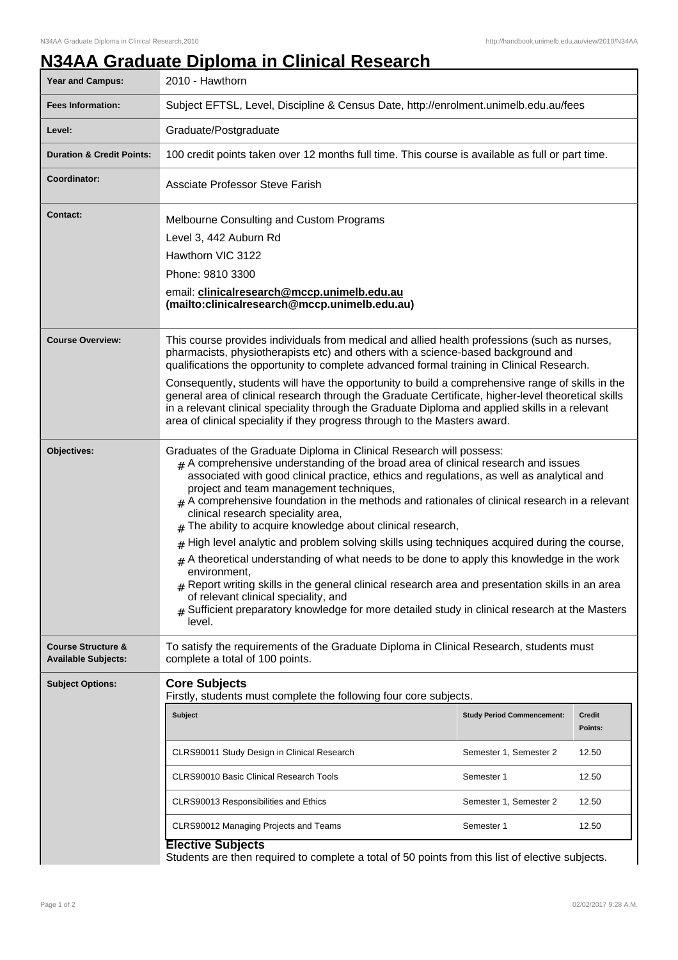## **N34AA Graduate Diploma in Clinical Research**

| <b>Year and Campus:</b>                                     | 2010 - Hawthorn                                                                                                                                                                                                                                                                                                                                                                                                                                                                                                                                                                                                                                                                                                                                                                                                                                                                                                                                                                   |                                   |                          |  |
|-------------------------------------------------------------|-----------------------------------------------------------------------------------------------------------------------------------------------------------------------------------------------------------------------------------------------------------------------------------------------------------------------------------------------------------------------------------------------------------------------------------------------------------------------------------------------------------------------------------------------------------------------------------------------------------------------------------------------------------------------------------------------------------------------------------------------------------------------------------------------------------------------------------------------------------------------------------------------------------------------------------------------------------------------------------|-----------------------------------|--------------------------|--|
| <b>Fees Information:</b>                                    | Subject EFTSL, Level, Discipline & Census Date, http://enrolment.unimelb.edu.au/fees                                                                                                                                                                                                                                                                                                                                                                                                                                                                                                                                                                                                                                                                                                                                                                                                                                                                                              |                                   |                          |  |
| Level:                                                      | Graduate/Postgraduate                                                                                                                                                                                                                                                                                                                                                                                                                                                                                                                                                                                                                                                                                                                                                                                                                                                                                                                                                             |                                   |                          |  |
| <b>Duration &amp; Credit Points:</b>                        | 100 credit points taken over 12 months full time. This course is available as full or part time.                                                                                                                                                                                                                                                                                                                                                                                                                                                                                                                                                                                                                                                                                                                                                                                                                                                                                  |                                   |                          |  |
| Coordinator:                                                | Assciate Professor Steve Farish                                                                                                                                                                                                                                                                                                                                                                                                                                                                                                                                                                                                                                                                                                                                                                                                                                                                                                                                                   |                                   |                          |  |
| <b>Contact:</b>                                             | Melbourne Consulting and Custom Programs<br>Level 3, 442 Auburn Rd<br>Hawthorn VIC 3122<br>Phone: 9810 3300<br>email: clinicalresearch@mccp.unimelb.edu.au<br>(mailto:clinicalresearch@mccp.unimelb.edu.au)                                                                                                                                                                                                                                                                                                                                                                                                                                                                                                                                                                                                                                                                                                                                                                       |                                   |                          |  |
| <b>Course Overview:</b>                                     | This course provides individuals from medical and allied health professions (such as nurses,<br>pharmacists, physiotherapists etc) and others with a science-based background and<br>qualifications the opportunity to complete advanced formal training in Clinical Research.<br>Consequently, students will have the opportunity to build a comprehensive range of skills in the<br>general area of clinical research through the Graduate Certificate, higher-level theoretical skills<br>in a relevant clinical speciality through the Graduate Diploma and applied skills in a relevant<br>area of clinical speciality if they progress through to the Masters award.                                                                                                                                                                                                                                                                                                        |                                   |                          |  |
| Objectives:                                                 | Graduates of the Graduate Diploma in Clinical Research will possess:<br>$#$ A comprehensive understanding of the broad area of clinical research and issues<br>associated with good clinical practice, ethics and regulations, as well as analytical and<br>project and team management techniques,<br>$#$ A comprehensive foundation in the methods and rationales of clinical research in a relevant<br>clinical research speciality area,<br>The ability to acquire knowledge about clinical research,<br>High level analytic and problem solving skills using techniques acquired during the course,<br>A theoretical understanding of what needs to be done to apply this knowledge in the work<br>#<br>environment,<br>$*$ Report writing skills in the general clinical research area and presentation skills in an area<br>of relevant clinical speciality, and<br>Sufficient preparatory knowledge for more detailed study in clinical research at the Masters<br>level. |                                   |                          |  |
| <b>Course Structure &amp;</b><br><b>Available Subjects:</b> | To satisfy the requirements of the Graduate Diploma in Clinical Research, students must<br>complete a total of 100 points.                                                                                                                                                                                                                                                                                                                                                                                                                                                                                                                                                                                                                                                                                                                                                                                                                                                        |                                   |                          |  |
| <b>Subject Options:</b>                                     | <b>Core Subjects</b><br>Firstly, students must complete the following four core subjects.                                                                                                                                                                                                                                                                                                                                                                                                                                                                                                                                                                                                                                                                                                                                                                                                                                                                                         |                                   |                          |  |
|                                                             | Subject                                                                                                                                                                                                                                                                                                                                                                                                                                                                                                                                                                                                                                                                                                                                                                                                                                                                                                                                                                           | <b>Study Period Commencement:</b> | <b>Credit</b><br>Points: |  |
|                                                             | CLRS90011 Study Design in Clinical Research                                                                                                                                                                                                                                                                                                                                                                                                                                                                                                                                                                                                                                                                                                                                                                                                                                                                                                                                       | Semester 1, Semester 2            | 12.50                    |  |
|                                                             | <b>CLRS90010 Basic Clinical Research Tools</b>                                                                                                                                                                                                                                                                                                                                                                                                                                                                                                                                                                                                                                                                                                                                                                                                                                                                                                                                    | Semester 1                        | 12.50                    |  |
|                                                             | CLRS90013 Responsibilities and Ethics                                                                                                                                                                                                                                                                                                                                                                                                                                                                                                                                                                                                                                                                                                                                                                                                                                                                                                                                             | Semester 1, Semester 2            | 12.50                    |  |
|                                                             | CLRS90012 Managing Projects and Teams                                                                                                                                                                                                                                                                                                                                                                                                                                                                                                                                                                                                                                                                                                                                                                                                                                                                                                                                             | Semester 1                        | 12.50                    |  |
|                                                             | <b>Elective Subjects</b><br>Students are then required to complete a total of 50 points from this list of elective subjects.                                                                                                                                                                                                                                                                                                                                                                                                                                                                                                                                                                                                                                                                                                                                                                                                                                                      |                                   |                          |  |